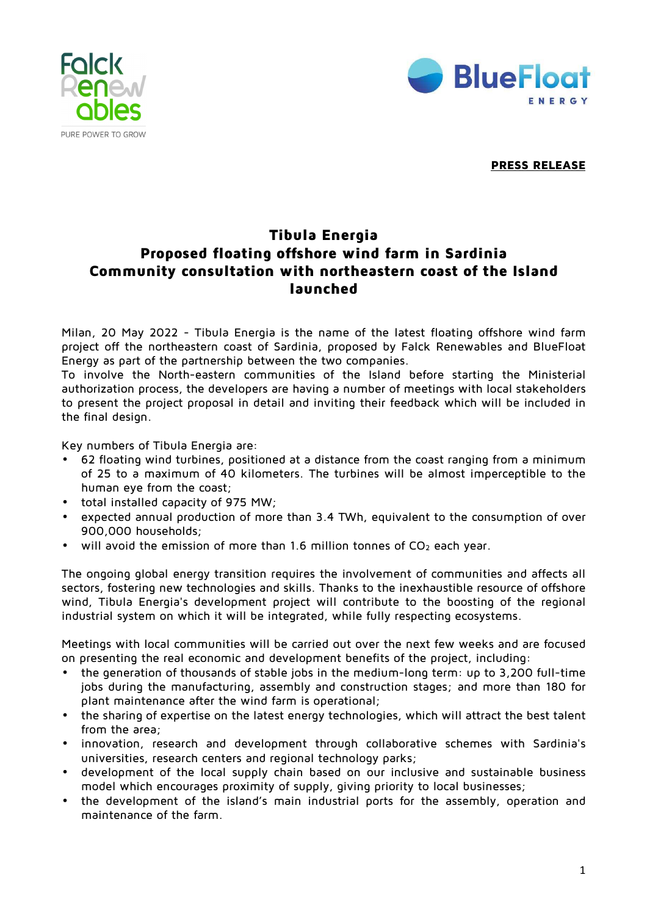



**PRESS RELEASE** 

## **Tibula Energia Proposed floating offshore wind farm in Sardinia Community consultation with northeastern coast of the Island launched**

Milan, 20 May 2022 - Tibula Energia is the name of the latest floating offshore wind farm project off the northeastern coast of Sardinia, proposed by Falck Renewables and BlueFloat Energy as part of the partnership between the two companies.

To involve the North-eastern communities of the Island before starting the Ministerial authorization process, the developers are having a number of meetings with local stakeholders to present the project proposal in detail and inviting their feedback which will be included in the final design.

Key numbers of Tibula Energia are:

- 62 floating wind turbines, positioned at a distance from the coast ranging from a minimum of 25 to a maximum of 40 kilometers. The turbines will be almost imperceptible to the human eye from the coast;
- total installed capacity of 975 MW;
- expected annual production of more than 3.4 TWh, equivalent to the consumption of over 900,000 households;
- will avoid the emission of more than 1.6 million tonnes of  $CO<sub>2</sub>$  each year.

The ongoing global energy transition requires the involvement of communities and affects all sectors, fostering new technologies and skills. Thanks to the inexhaustible resource of offshore wind, Tibula Energia's development project will contribute to the boosting of the regional industrial system on which it will be integrated, while fully respecting ecosystems.

Meetings with local communities will be carried out over the next few weeks and are focused on presenting the real economic and development benefits of the project, including:

- the generation of thousands of stable jobs in the medium-long term: up to 3,200 full-time jobs during the manufacturing, assembly and construction stages; and more than 180 for plant maintenance after the wind farm is operational;
- the sharing of expertise on the latest energy technologies, which will attract the best talent from the area;
- innovation, research and development through collaborative schemes with Sardinia's universities, research centers and regional technology parks;
- development of the local supply chain based on our inclusive and sustainable business model which encourages proximity of supply, giving priority to local businesses;
- the development of the island's main industrial ports for the assembly, operation and maintenance of the farm.